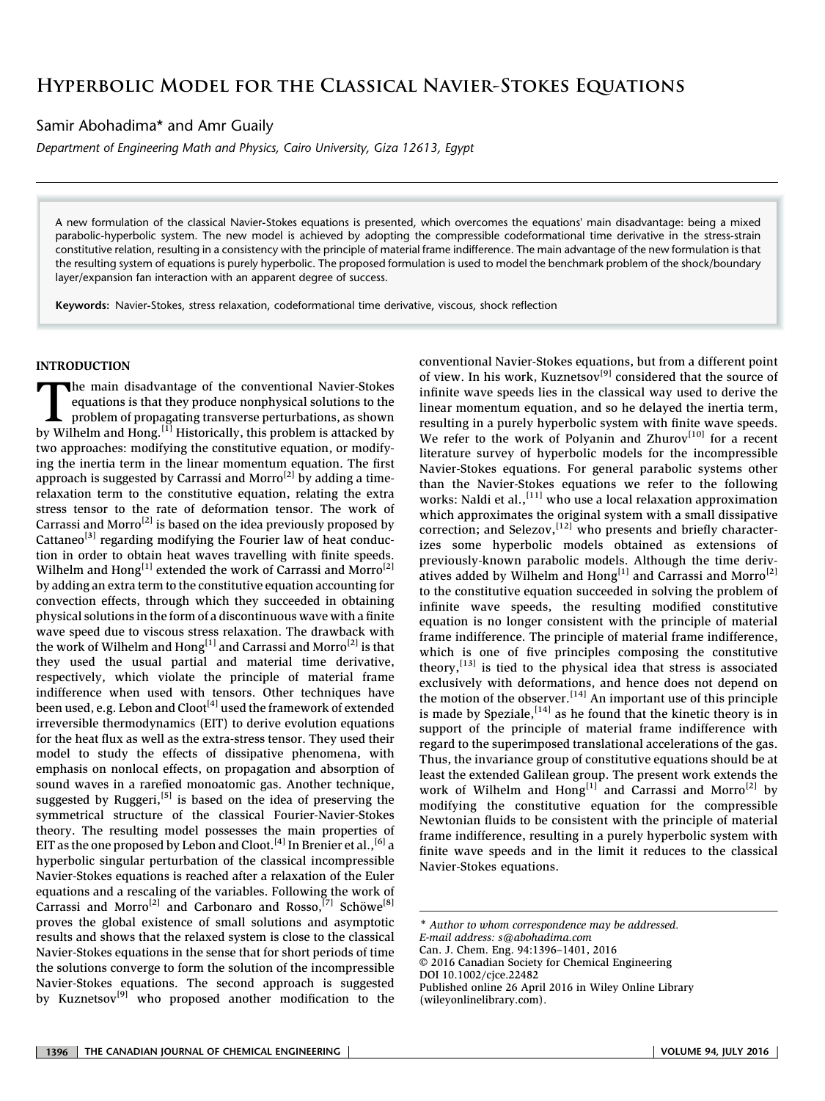Samir Abohadima\* and Amr Guaily

Department of Engineering Math and Physics, Cairo University, Giza 12613, Egypt

A new formulation of the classical Navier-Stokes equations is presented, which overcomes the equations' main disadvantage: being a mixed parabolic-hyperbolic system. The new model is achieved by adopting the compressible codeformational time derivative in the stress-strain constitutive relation, resulting in a consistency with the principle of material frame indifference. The main advantage of the new formulation is that the resulting system of equations is purely hyperbolic. The proposed formulation is used to model the benchmark problem of the shock/boundary layer/expansion fan interaction with an apparent degree of success.

Keywords: Navier-Stokes, stress relaxation, codeformational time derivative, viscous, shock reflection

# INTRODUCTION

The main disadvantage of the conventional Navier-Stokes<br>equations is that they produce nonphysical solutions to the<br>problem of propagating transverse perturbations, as shown<br>by Wilhelm and Hong <sup>[1]</sup> Historically, this pro equations is that they produce nonphysical solutions to the problem of propagating transverse perturbations, as shown by Wilhelm and Hong.<sup>[1]</sup> Historically, this problem is attacked by two approaches: modifying the constitutive equation, or modifying the inertia term in the linear momentum equation. The first approach is suggested by Carrassi and Morro<sup>[2]</sup> by adding a timerelaxation term to the constitutive equation, relating the extra stress tensor to the rate of deformation tensor. The work of Carrassi and Morro<sup>[2]</sup> is based on the idea previously proposed by Cattaneo<sup>[3]</sup> regarding modifying the Fourier law of heat conduction in order to obtain heat waves travelling with finite speeds. Wilhelm and Hong<sup>[1]</sup> extended the work of Carrassi and Morro<sup>[2]</sup> by adding an extra term to the constitutive equation accounting for convection effects, through which they succeeded in obtaining physical solutions in the form of a discontinuous wave with a finite wave speed due to viscous stress relaxation. The drawback with the work of Wilhelm and Hong<sup>[1]</sup> and Carrassi and Morro<sup>[2]</sup> is that they used the usual partial and material time derivative, respectively, which violate the principle of material frame indifference when used with tensors. Other techniques have been used, e.g. Lebon and  $Cloor^{[4]}$  used the framework of extended irreversible thermodynamics (EIT) to derive evolution equations for the heat flux as well as the extra-stress tensor. They used their model to study the effects of dissipative phenomena, with emphasis on nonlocal effects, on propagation and absorption of sound waves in a rarefied monoatomic gas. Another technique, suggested by Ruggeri,<sup>[5]</sup> is based on the idea of preserving the symmetrical structure of the classical Fourier-Navier-Stokes theory. The resulting model possesses the main properties of EIT as the one proposed by Lebon and Cloot.<sup>[4]</sup> In Brenier et al.,<sup>[6]</sup> a hyperbolic singular perturbation of the classical incompressible Navier-Stokes equations is reached after a relaxation of the Euler equations and a rescaling of the variables. Following the work of Carrassi and Morro<sup>[2]</sup> and Carbonaro and Rosso,<sup>[7]</sup> Schöwe<sup>[8]</sup> proves the global existence of small solutions and asymptotic results and shows that the relaxed system is close to the classical Navier-Stokes equations in the sense that for short periods of time the solutions converge to form the solution of the incompressible Navier-Stokes equations. The second approach is suggested by Kuznetsov<sup>[9]</sup> who proposed another modification to the

conventional Navier-Stokes equations, but from a different point of view. In his work, Kuznetsov<sup>[9]</sup> considered that the source of infinite wave speeds lies in the classical way used to derive the linear momentum equation, and so he delayed the inertia term, resulting in a purely hyperbolic system with finite wave speeds. We refer to the work of Polyanin and Zhurov<sup>[10]</sup> for a recent literature survey of hyperbolic models for the incompressible Navier-Stokes equations. For general parabolic systems other than the Navier-Stokes equations we refer to the following works: Naldi et al.,<sup>[11]</sup> who use a local relaxation approximation which approximates the original system with a small dissipative correction; and Selezov,  $[12]$  who presents and briefly characterizes some hyperbolic models obtained as extensions of previously-known parabolic models. Although the time derivatives added by Wilhelm and Hong<sup>[1]</sup> and Carrassi and Morro<sup>[2]</sup> to the constitutive equation succeeded in solving the problem of infinite wave speeds, the resulting modified constitutive equation is no longer consistent with the principle of material frame indifference. The principle of material frame indifference, which is one of five principles composing the constitutive theory, $^{[13]}$  is tied to the physical idea that stress is associated exclusively with deformations, and hence does not depend on the motion of the observer.<sup>[14]</sup> An important use of this principle is made by Speziale,  $[14]$  as he found that the kinetic theory is in support of the principle of material frame indifference with regard to the superimposed translational accelerations of the gas. Thus, the invariance group of constitutive equations should be at least the extended Galilean group. The present work extends the work of Wilhelm and Hong<sup>[1]</sup> and Carrassi and Morro<sup>[2]</sup> by modifying the constitutive equation for the compressible Newtonian fluids to be consistent with the principle of material frame indifference, resulting in a purely hyperbolic system with finite wave speeds and in the limit it reduces to the classical Navier-Stokes equations.

\* Author to whom correspondence may be addressed. E-mail address: s@abohadima.com Can. J. Chem. Eng. 94:1396–1401, 2016 © 2016 Canadian Society for Chemical Engineering DOI 10.1002/cjce.22482 Published online 26 April 2016 in Wiley Online Library (wileyonlinelibrary.com).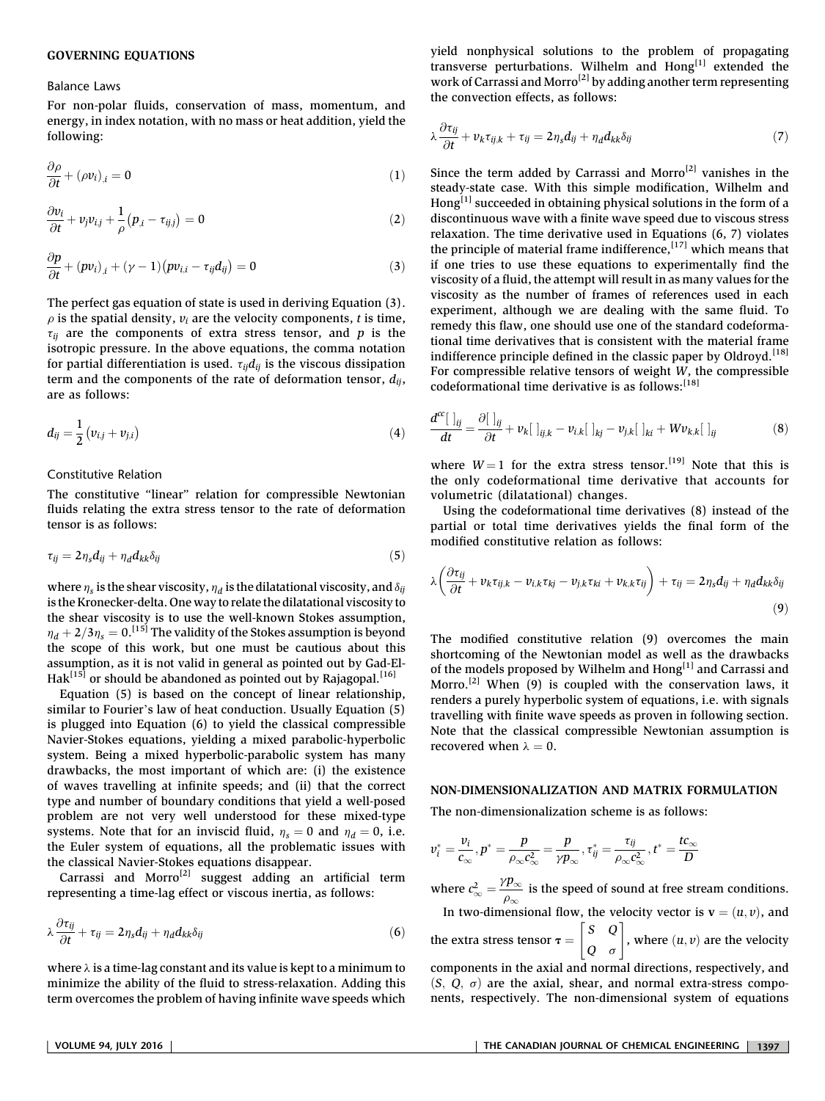### GOVERNING EQUATIONS

#### Balance Laws

For non-polar fluids, conservation of mass, momentum, and energy, in index notation, with no mass or heat addition, yield the following:

$$
\frac{\partial \rho}{\partial t} + (\rho v_i)_{,i} = 0 \tag{1}
$$

$$
\frac{\partial v_i}{\partial t} + v_j v_{i,j} + \frac{1}{\rho} (p_{i} - \tau_{ij,j}) = 0
$$
\n(2)

$$
\frac{\partial p}{\partial t} + (p v_i)_{,i} + (\gamma - 1) (p v_{i,i} - \tau_{ij} d_{ij}) = 0 \tag{3}
$$

The perfect gas equation of state is used in deriving Equation (3).  $\rho$  is the spatial density,  $v_i$  are the velocity components, t is time,  $\tau_{ii}$  are the components of extra stress tensor, and p is the isotropic pressure. In the above equations, the comma notation for partial differentiation is used.  $\tau_{ij}d_{ij}$  is the viscous dissipation term and the components of the rate of deformation tensor,  $d_{ij}$ , are as follows:

$$
d_{ij} = \frac{1}{2} (v_{i,j} + v_{j,i})
$$
 (4)

## Constitutive Relation

The constitutive "linear" relation for compressible Newtonian fluids relating the extra stress tensor to the rate of deformation tensor is as follows:

$$
\tau_{ij} = 2\eta_s d_{ij} + \eta_d d_{kk} \delta_{ij} \tag{5}
$$

where  $\eta_s$  is the shear viscosity,  $\eta_d$  is the dilatational viscosity, and  $\delta_{ij}$ is the Kronecker-delta. One way to relate the dilatational viscosity to the shear viscosity is to use the well-known Stokes assumption,  $\eta_d + 2/3\eta_s = 0$ . [15] The validity of the Stokes assumption is beyond the scope of this work, but one must be cautious about this assumption, as it is not valid in general as pointed out by Gad-El- $Hak^{[15]}$  or should be abandoned as pointed out by Rajagopal.<sup>[16]</sup>

Equation (5) is based on the concept of linear relationship, similar to Fourier's law of heat conduction. Usually Equation (5) is plugged into Equation (6) to yield the classical compressible Navier-Stokes equations, yielding a mixed parabolic-hyperbolic system. Being a mixed hyperbolic-parabolic system has many drawbacks, the most important of which are: (i) the existence of waves travelling at infinite speeds; and (ii) that the correct type and number of boundary conditions that yield a well-posed problem are not very well understood for these mixed-type systems. Note that for an inviscid fluid,  $\eta_s = 0$  and  $\eta_d = 0$ , i.e. the Euler system of equations, all the problematic issues with the classical Navier-Stokes equations disappear.

Carrassi and Morro<sup>[2]</sup> suggest adding an artificial term representing a time-lag effect or viscous inertia, as follows:

$$
\lambda \frac{\partial \tau_{ij}}{\partial t} + \tau_{ij} = 2 \eta_s d_{ij} + \eta_d d_{kk} \delta_{ij}
$$
\n(6)

where  $\lambda$  is a time-lag constant and its value is kept to a minimum to minimize the ability of the fluid to stress-relaxation. Adding this term overcomes the problem of having infinite wave speeds which yield nonphysical solutions to the problem of propagating transverse perturbations. Wilhelm and Hong<sup>[1]</sup> extended the work of Carrassi and Morro<sup>[2]</sup> by adding another term representing the convection effects, as follows:

$$
\lambda \frac{\partial \tau_{ij}}{\partial t} + v_k \tau_{ij,k} + \tau_{ij} = 2 \eta_s d_{ij} + \eta_d d_{kk} \delta_{ij}
$$
\n<sup>(7)</sup>

Since the term added by Carrassi and Morro<sup>[2]</sup> vanishes in the steady-state case. With this simple modification, Wilhelm and Hong $[1]$  succeeded in obtaining physical solutions in the form of a discontinuous wave with a finite wave speed due to viscous stress relaxation. The time derivative used in Equations (6, 7) violates the principle of material frame indifference,  $[17]$  which means that if one tries to use these equations to experimentally find the viscosity of a fluid, the attempt will result in as many values for the viscosity as the number of frames of references used in each experiment, although we are dealing with the same fluid. To remedy this flaw, one should use one of the standard codeformational time derivatives that is consistent with the material frame indifference principle defined in the classic paper by Oldroyd.<sup>[18]</sup> For compressible relative tensors of weight W, the compressible codeformational time derivative is as follows:  $[18]$ 

$$
\frac{d^{cc}\left[\left.\right]_{ij}}{dt} = \frac{\partial\left[\left.\right]_{ij}}{\partial t} + v_k\left[\left.\right]_{ij,k} - v_{i,k}\left[\left.\right]_{kj} - v_{j,k}\left[\left.\right]_{ki} + Wv_{k,k}\left[\left.\right]_{ij}\right]\right)\right]
$$
(8)

where  $W = 1$  for the extra stress tensor.<sup>[19]</sup> Note that this is the only codeformational time derivative that accounts for volumetric (dilatational) changes.

Using the codeformational time derivatives (8) instead of the partial or total time derivatives yields the final form of the modified constitutive relation as follows:

$$
\lambda \left( \frac{\partial \tau_{ij}}{\partial t} + v_k \tau_{ij,k} - v_{i,k} \tau_{kj} - v_{j,k} \tau_{ki} + v_{k,k} \tau_{ij} \right) + \tau_{ij} = 2 \eta_s d_{ij} + \eta_d d_{kk} \delta_{ij}
$$
\n(9)

The modified constitutive relation (9) overcomes the main shortcoming of the Newtonian model as well as the drawbacks of the models proposed by Wilhelm and Hong<sup>[1]</sup> and Carrassi and Morro.<sup>[2]</sup> When  $(9)$  is coupled with the conservation laws, it renders a purely hyperbolic system of equations, i.e. with signals travelling with finite wave speeds as proven in following section. Note that the classical compressible Newtonian assumption is recovered when  $\lambda = 0$ .

### NON-DIMENSIONALIZATION AND MATRIX FORMULATION

The non-dimensionalization scheme is as follows:

$$
v_i^* = \frac{v_i}{c_{\infty}}, p^* = \frac{p}{\rho_{\infty} c_{\infty}^2} = \frac{p}{\gamma p_{\infty}}, \tau_{ij}^* = \frac{\tau_{ij}}{\rho_{\infty} c_{\infty}^2}, t^* = \frac{tc_{\infty}}{D}
$$

where  $c_{\infty}^2 = \frac{\gamma p_{\infty}}{\rho_{\infty}}$  is the speed of sound at free stream conditions.<br>In two dimensional flow, the velocity vector is  $y = (u, v)$  and In two-dimensional flow, the velocity vector is  $\mathbf{v} = (u, v)$ , and the extra stress tensor  $\tau = \begin{bmatrix} S & Q \\ Q & \sigma \end{bmatrix}$ , where  $(u, v)$  are the velocity components in the axial and normal directions, respectively, and  $(S, Q, \sigma)$  are the axial, shear, and normal extra-stress components, respectively. The non-dimensional system of equations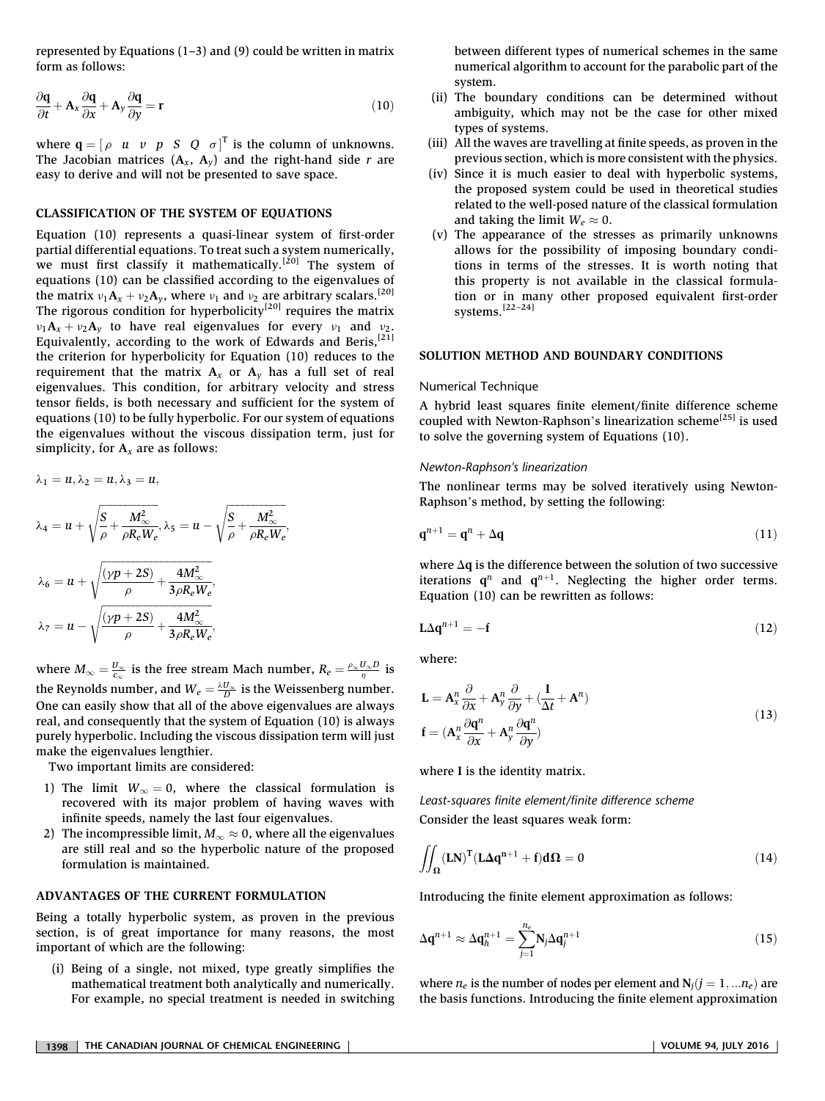represented by Equations  $(1-3)$  and  $(9)$  could be written in matrix form as follows:

$$
\frac{\partial \mathbf{q}}{\partial t} + \mathbf{A}_x \frac{\partial \mathbf{q}}{\partial x} + \mathbf{A}_y \frac{\partial \mathbf{q}}{\partial y} = \mathbf{r}
$$
 (10)

where  $\mathbf{q} = \begin{bmatrix} \rho & u & v & p & S & Q & \sigma \end{bmatrix}^T$  is the column of unknowns. The Jacobian matrices  $(A_x, A_y)$  and the right-hand side r are easy to derive and will not be presented to save space.

# CLASSIFICATION OF THE SYSTEM OF EQUATIONS

Equation (10) represents a quasi-linear system of first-order partial differential equations. To treat such a system numerically, we must first classify it mathematically.<sup>[20]</sup> The system of equations (10) can be classified according to the eigenvalues of the matrix  $v_1A_x + v_2A_y$ , where  $v_1$  and  $v_2$  are arbitrary scalars.<sup>[20]</sup> The rigorous condition for hyperbolicity<sup>[20]</sup> requires the matrix  $v_1$ **A**<sub>x</sub> +  $v_2$ **A**<sub>y</sub> to have real eigenvalues for every  $v_1$  and  $v_2$ .<br>Equivalently, according to the work of Edwards and Beris,<sup>[21]</sup> the criterion for hyperbolicity for Equation (10) reduces to the requirement that the matrix  $A_x$  or  $A_y$  has a full set of real eigenvalues. This condition, for arbitrary velocity and stress tensor fields, is both necessary and sufficient for the system of equations (10) to be fully hyperbolic. For our system of equations the eigenvalues without the viscous dissipation term, just for simplicity, for  $A_x$  are as follows:

$$
\lambda_1 = u, \lambda_2 = u, \lambda_3 = u,
$$
  
\n
$$
\lambda_4 = u + \sqrt{\frac{S}{\rho} + \frac{M_{\infty}^2}{\rho R_e W_e}}, \lambda_5 = u - \sqrt{\frac{S}{\rho} + \frac{M_{\infty}^2}{\rho R_e W_e}}
$$
  
\n
$$
\lambda_6 = u + \sqrt{\frac{(\gamma p + 2S)}{\rho} + \frac{4M_{\infty}^2}{3\rho R_e W_e}},
$$
  
\n
$$
\lambda_7 = u - \sqrt{\frac{(\gamma p + 2S)}{\rho} + \frac{4M_{\infty}^2}{3\rho R_e W_e}},
$$

where  $M_{\infty} = \frac{U_{\infty}}{c_{\infty}}$  is the free stream Mach number,  $R_e = \frac{\rho_{\infty} U_{\infty} D}{\eta}$  is the Reynolds number, and  $W_e = \frac{\lambda U_{\infty}}{D}$  is the Weissenberg number.<br>One can easily show that all of the above giganyalyes are always One can easily show that all of the above eigenvalues are always real, and consequently that the system of Equation (10) is always purely hyperbolic. Including the viscous dissipation term will just make the eigenvalues lengthier.

;

Two important limits are considered:

- 1) The limit  $W_{\infty} = 0$ , where the classical formulation is recovered with its major problem of having waves with infinite speeds, namely the last four eigenvalues.
- 2) The incompressible limit,  $M_{\infty} \approx 0$ , where all the eigenvalues are still real and so the hyperbolic nature of the proposed formulation is maintained.

#### ADVANTAGES OF THE CURRENT FORMULATION

Being a totally hyperbolic system, as proven in the previous section, is of great importance for many reasons, the most important of which are the following:

(i) Being of a single, not mixed, type greatly simplifies the mathematical treatment both analytically and numerically. For example, no special treatment is needed in switching between different types of numerical schemes in the same numerical algorithm to account for the parabolic part of the system.

- (ii) The boundary conditions can be determined without ambiguity, which may not be the case for other mixed types of systems.
- (iii) All the waves are travelling at finite speeds, as proven in the previous section, which is more consistent with the physics.
- (iv) Since it is much easier to deal with hyperbolic systems, the proposed system could be used in theoretical studies related to the well-posed nature of the classical formulation and taking the limit  $W_e \approx 0$ .
- (v) The appearance of the stresses as primarily unknowns allows for the possibility of imposing boundary conditions in terms of the stresses. It is worth noting that this property is not available in the classical formulation or in many other proposed equivalent first-order systems.[22–24]

#### SOLUTION METHOD AND BOUNDARY CONDITIONS

#### Numerical Technique

A hybrid least squares finite element/finite difference scheme coupled with Newton-Raphson's linearization scheme<sup>[25]</sup> is used to solve the governing system of Equations (10).

### Newton-Raphson's linearization

The nonlinear terms may be solved iteratively using Newton-Raphson's method, by setting the following:

$$
\mathbf{q}^{n+1} = \mathbf{q}^n + \Delta \mathbf{q} \tag{11}
$$

where  $\Delta q$  is the difference between the solution of two successive iterations  $\mathbf{q}^n$  and  $\mathbf{q}^{n+1}$ . Neglecting the higher order terms. Equation (10) can be rewritten as follows:

$$
L\Delta q^{n+1} = -f \tag{12}
$$

where:

$$
\mathbf{L} = \mathbf{A}_{x}^{n} \frac{\partial}{\partial x} + \mathbf{A}_{y}^{n} \frac{\partial}{\partial y} + (\frac{\mathbf{I}}{\Delta t} + \mathbf{A}^{n})
$$
  
\n
$$
\mathbf{f} = (\mathbf{A}_{x}^{n} \frac{\partial \mathbf{q}^{n}}{\partial x} + \mathbf{A}_{y}^{n} \frac{\partial \mathbf{q}^{n}}{\partial y})
$$
\n(13)

where I is the identity matrix.

Least-squares finite element/finite difference scheme Consider the least squares weak form:

$$
\iint_{\Omega} (LN)^{T} (L\Delta q^{n+1} + f) d\Omega = 0
$$
\n(14)

Introducing the finite element approximation as follows:

$$
\Delta \mathbf{q}^{n+1} \approx \Delta \mathbf{q}_h^{n+1} = \sum_{j=1}^{n_e} \mathbf{N}_j \Delta \mathbf{q}_j^{n+1}
$$
 (15)

where  $n_e$  is the number of nodes per element and  $N_i$  ( $j = 1, ... n_e$ ) are the basis functions. Introducing the finite element approximation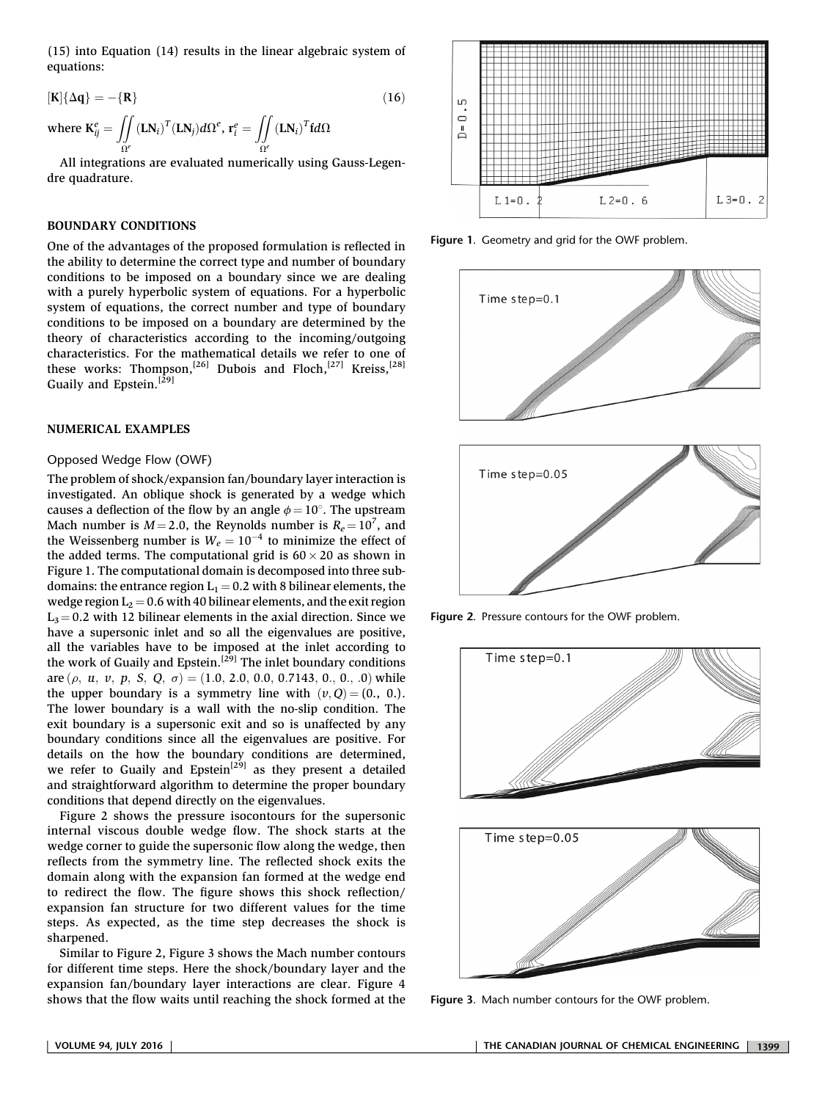(15) into Equation (14) results in the linear algebraic system of equations:

$$
[\mathbf{K}]\{\Delta \mathbf{q}\} = -\{\mathbf{R}\}\
$$
\nwhere  $\mathbf{K}_{ij}^e = \iint_{\Omega^e} (\mathbf{L} \mathbf{N}_i)^T (\mathbf{L} \mathbf{N}_j) d\Omega^e$ ,  $\mathbf{r}_i^e = \iint_{\Omega^e} (\mathbf{L} \mathbf{N}_i)^T \mathbf{f} d\Omega$ 

All integrations are evaluated numerically using Gauss-Legendre quadrature.

## BOUNDARY CONDITIONS

One of the advantages of the proposed formulation is reflected in the ability to determine the correct type and number of boundary conditions to be imposed on a boundary since we are dealing with a purely hyperbolic system of equations. For a hyperbolic system of equations, the correct number and type of boundary conditions to be imposed on a boundary are determined by the theory of characteristics according to the incoming/outgoing characteristics. For the mathematical details we refer to one of these works: Thompson,<sup>[26]</sup> Dubois and Floch,<sup>[27]</sup> Kreiss,<sup>[28]</sup> Guaily and Epstein.<sup>[29]</sup>

# NUMERICAL EXAMPLES

## Opposed Wedge Flow (OWF)

The problem of shock/expansion fan/boundary layer interaction is investigated. An oblique shock is generated by a wedge which causes a deflection of the flow by an angle  $\phi = 10^{\circ}$ . The upstream Mach number is  $M = 2.0$ , the Reynolds number is  $R_e = 10^7$ , and the Weissenberg number is  $W_1 = 10^{-4}$  to minimize the effect of the Weissenberg number is  $W_e = 10^{-4}$  to minimize the effect of the added terms. The computational grid is 60  $\times$  20 as shown in the added terms. The computational grid is  $60 \times 20$  as shown in Figure 1. The computational domain is decomposed into three subdomains: the entrance region  $L_1 = 0.2$  with 8 bilinear elements, the wedge region  $L_2 = 0.6$  with 40 bilinear elements, and the exit region  $L<sub>3</sub> = 0.2$  with 12 bilinear elements in the axial direction. Since we have a supersonic inlet and so all the eigenvalues are positive, all the variables have to be imposed at the inlet according to the work of Guaily and Epstein.<sup>[29]</sup> The inlet boundary conditions are  $(\rho, u, v, p, S, Q, \sigma) = (1.0, 2.0, 0.0, 0.7143, 0., 0., 0)$  while the upper boundary is a symmetry line with  $(v, Q) = (0, 0.0)$ . The lower boundary is a wall with the no-slip condition. The exit boundary is a supersonic exit and so is unaffected by any boundary conditions since all the eigenvalues are positive. For details on the how the boundary conditions are determined, we refer to Guaily and Epstein<sup>[29]</sup> as they present a detailed and straightforward algorithm to determine the proper boundary conditions that depend directly on the eigenvalues.

Figure 2 shows the pressure isocontours for the supersonic internal viscous double wedge flow. The shock starts at the wedge corner to guide the supersonic flow along the wedge, then reflects from the symmetry line. The reflected shock exits the domain along with the expansion fan formed at the wedge end to redirect the flow. The figure shows this shock reflection/ expansion fan structure for two different values for the time steps. As expected, as the time step decreases the shock is sharpened.

Similar to Figure 2, Figure 3 shows the Mach number contours for different time steps. Here the shock/boundary layer and the expansion fan/boundary layer interactions are clear. Figure 4 shows that the flow waits until reaching the shock formed at the



Figure 1. Geometry and grid for the OWF problem.



Figure 2. Pressure contours for the OWF problem.



Figure 3. Mach number contours for the OWF problem.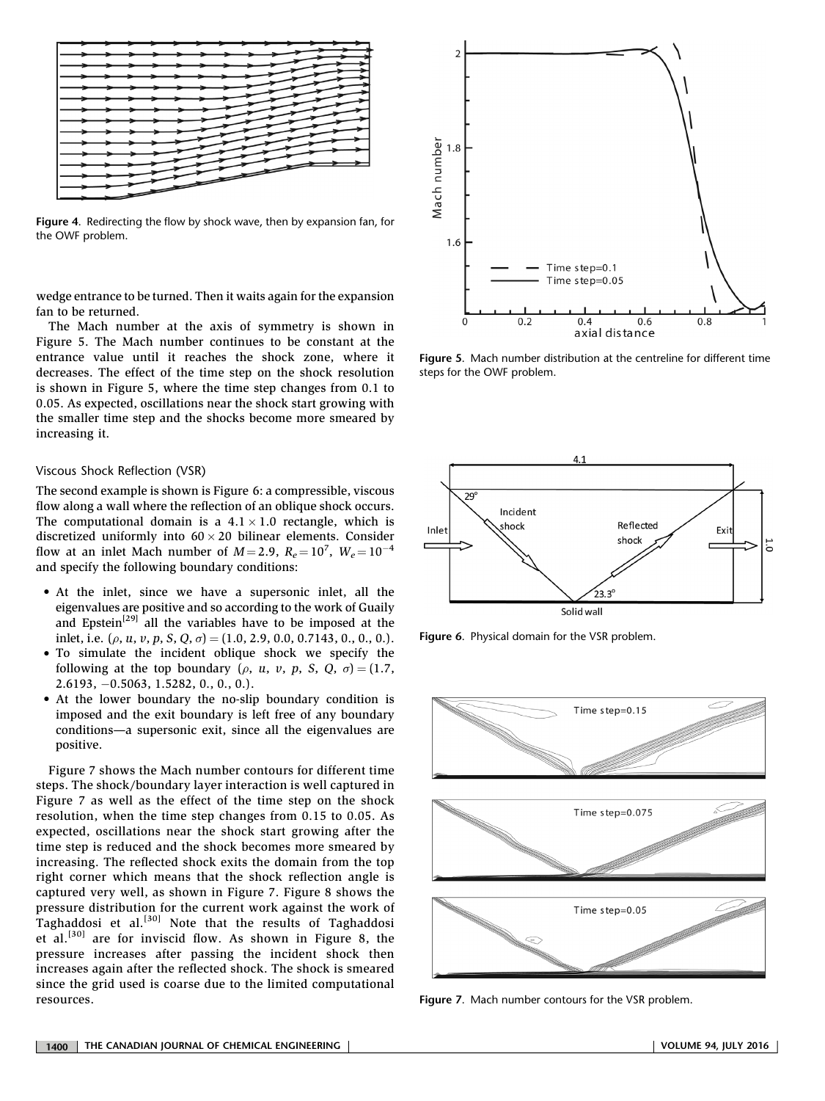

Figure 4. Redirecting the flow by shock wave, then by expansion fan, for the OWF problem.

wedge entrance to be turned. Then it waits again for the expansion fan to be returned.

The Mach number at the axis of symmetry is shown in Figure 5. The Mach number continues to be constant at the entrance value until it reaches the shock zone, where it decreases. The effect of the time step on the shock resolution is shown in Figure 5, where the time step changes from 0.1 to 0.05. As expected, oscillations near the shock start growing with the smaller time step and the shocks become more smeared by increasing it.

#### Viscous Shock Reflection (VSR)

The second example is shown is Figure 6: a compressible, viscous flow along a wall where the reflection of an oblique shock occurs. The computational domain is a  $4.1 \times 1.0$  rectangle, which is discretized uniformly into  $60 \times 20$  bilinear elements. Consider flow at an inlet Mach number of  $M = 2.9$ ,  $R_e = 10^7$ ,  $W_e = 10^{-4}$ <br>and specify the following houndary conditions: and specify the following boundary conditions:

- At the inlet, since we have a supersonic inlet, all the eigenvalues are positive and so according to the work of Guaily and Epstein<sup>[29]</sup> all the variables have to be imposed at the inlet, i.e.  $(\rho, u, v, p, S, Q, \sigma) = (1.0, 2.9, 0.0, 0.7143, 0., 0., 0.).$
- To simulate the incident oblique shock we specify the following at the top boundary ( $\rho$ ,  $u$ ,  $v$ ,  $p$ ,  $S$ ,  $Q$ ,  $\sigma$ ) = (1.7, 2.6193, -0.5063, 1.5282, 0., 0., 0.).
- At the lower boundary the no-slip boundary condition is imposed and the exit boundary is left free of any boundary conditions—a supersonic exit, since all the eigenvalues are positive.

Figure 7 shows the Mach number contours for different time steps. The shock/boundary layer interaction is well captured in Figure 7 as well as the effect of the time step on the shock resolution, when the time step changes from 0.15 to 0.05. As expected, oscillations near the shock start growing after the time step is reduced and the shock becomes more smeared by increasing. The reflected shock exits the domain from the top right corner which means that the shock reflection angle is captured very well, as shown in Figure 7. Figure 8 shows the pressure distribution for the current work against the work of Taghaddosi et al. $[30]$  Note that the results of Taghaddosi et al.<sup>[30]</sup> are for inviscid flow. As shown in Figure 8, the pressure increases after passing the incident shock then increases again after the reflected shock. The shock is smeared since the grid used is coarse due to the limited computational resources.



Figure 5. Mach number distribution at the centreline for different time steps for the OWF problem.



Figure 6. Physical domain for the VSR problem.



Figure 7. Mach number contours for the VSR problem.